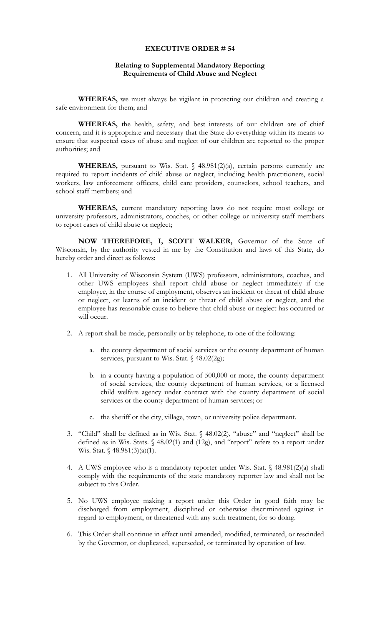## **EXECUTIVE ORDER # 54**

## **Relating to Supplemental Mandatory Reporting Requirements of Child Abuse and Neglect**

**WHEREAS,** we must always be vigilant in protecting our children and creating a safe environment for them; and

**WHEREAS,** the health, safety, and best interests of our children are of chief concern, and it is appropriate and necessary that the State do everything within its means to ensure that suspected cases of abuse and neglect of our children are reported to the proper authorities; and

WHEREAS, pursuant to Wis. Stat. § 48.981(2)(a), certain persons currently are required to report incidents of child abuse or neglect, including health practitioners, social workers, law enforcement officers, child care providers, counselors, school teachers, and school staff members; and

**WHEREAS,** current mandatory reporting laws do not require most college or university professors, administrators, coaches, or other college or university staff members to report cases of child abuse or neglect;

**NOW THEREFORE, I, SCOTT WALKER,** Governor of the State of Wisconsin, by the authority vested in me by the Constitution and laws of this State, do hereby order and direct as follows:

- 1. All University of Wisconsin System (UWS) professors, administrators, coaches, and other UWS employees shall report child abuse or neglect immediately if the employee, in the course of employment, observes an incident or threat of child abuse or neglect, or learns of an incident or threat of child abuse or neglect, and the employee has reasonable cause to believe that child abuse or neglect has occurred or will occur.
- 2. A report shall be made, personally or by telephone, to one of the following:
	- a. the county department of social services or the county department of human services, pursuant to Wis. Stat. § 48.02(2g);
	- b. in a county having a population of 500,000 or more, the county department of social services, the county department of human services, or a licensed child welfare agency under contract with the county department of social services or the county department of human services; or
	- c. the sheriff or the city, village, town, or university police department.
- 3. "Child" shall be defined as in Wis. Stat. § 48.02(2), "abuse" and "neglect" shall be defined as in Wis. Stats. § 48.02(1) and (12g), and "report" refers to a report under Wis. Stat. § 48.981(3)(a)(1).
- 4. A UWS employee who is a mandatory reporter under Wis. Stat. § 48.981(2)(a) shall comply with the requirements of the state mandatory reporter law and shall not be subject to this Order.
- 5. No UWS employee making a report under this Order in good faith may be discharged from employment, disciplined or otherwise discriminated against in regard to employment, or threatened with any such treatment, for so doing.
- 6. This Order shall continue in effect until amended, modified, terminated, or rescinded by the Governor, or duplicated, superseded, or terminated by operation of law.